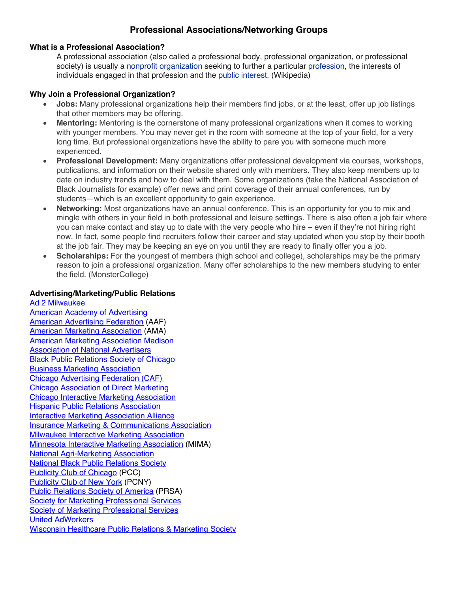# **Professional Associations/Networking Groups**

## **What is a Professional Association?**

A professional association (also called a professional body, professional organization, or professional society) is usually a nonprofit organization seeking to further a particular profession, the interests of individuals engaged in that profession and the public interest. (Wikipedia)

### **Why Join a Professional Organization?**

- **Jobs:** Many professional organizations help their members find jobs, or at the least, offer up job listings that other members may be offering.
- **Mentoring:** Mentoring is the cornerstone of many professional organizations when it comes to working with younger members. You may never get in the room with someone at the top of your field, for a very long time. But professional organizations have the ability to pare you with someone much more experienced.
- **Professional Development:** Many organizations offer professional development via courses, workshops, publications, and information on their website shared only with members. They also keep members up to date on industry trends and how to deal with them. Some organizations (take the National Association of Black Journalists for example) offer news and print coverage of their annual conferences, run by students—which is an excellent opportunity to gain experience.
- **Networking:** Most organizations have an annual conference. This is an opportunity for you to mix and mingle with others in your field in both professional and leisure settings. There is also often a job fair where you can make contact and stay up to date with the very people who hire – even if they're not hiring right now. In fact, some people find recruiters follow their career and stay updated when you stop by their booth at the job fair. They may be keeping an eye on you until they are ready to finally offer you a job.
- **Scholarships:** For the youngest of members (high school and college), scholarships may be the primary reason to join a professional organization. Many offer scholarships to the new members studying to enter the field. (MonsterCollege)

## **Advertising/Marketing/Public Relations**

Ad 2 Milwaukee American Academy of Advertising American Advertising Federation (AAF) American Marketing Association (AMA) American Marketing Association Madison Association of National Advertisers Black Public Relations Society of Chicago Business Marketing Association Chicago Advertising Federation (CAF) Chicago Association of Direct Marketing Chicago Interactive Marketing Association **Hispanic Public Relations Association Interactive Marketing Association Alliance** Insurance Marketing & Communications Association Milwaukee Interactive Marketing Association Minnesota Interactive Marketing Association (MIMA) National Agri-Marketing Association National Black Public Relations Society Publicity Club of Chicago (PCC) Publicity Club of New York (PCNY) Public Relations Society of America (PRSA) Society for Marketing Professional Services Society of Marketing Professional Services United AdWorkers Wisconsin Healthcare Public Relations & Marketing Society